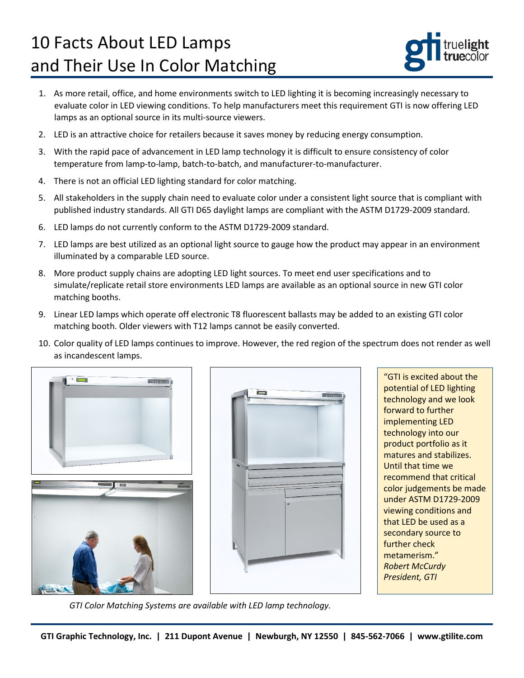## 10 Facts About LED Lamps and Their Use In Color Matching



- 1. As more retail, office, and home environments switch to LED lighting it is becoming increasingly necessary to evaluate color in LED viewing conditions. To help manufacturers meet this requirement GTI is now offering LED lamps as an optional source in its multi-source viewers.
- 2. LED is an attractive choice for retailers because it saves money by reducing energy consumption.
- 3. With the rapid pace of advancement in LED lamp technology it is difficult to ensure consistency of color temperature from lamp-to-lamp, batch-to-batch, and manufacturer-to-manufacturer.
- 4. There is not an official LED lighting standard for color matching.
- 5. All stakeholders in the supply chain need to evaluate color under a consistent light source that is compliant with published industry standards. All GTI D65 daylight lamps are compliant with the ASTM D1729-2009 standard.
- 6. LED lamps do not currently conform to the ASTM D1729-2009 standard.
- 7. LED lamps are best utilized as an optional light source to gauge how the product may appear in an environment illuminated by a comparable LED source.
- 8. More product supply chains are adopting LED light sources. To meet end user specifications and to simulate/replicate retail store environments LED lamps are available as an optional source in new GTI color matching booths.
- 9. Linear LED lamps which operate off electronic T8 fluorescent ballasts may be added to an existing GTI color matching booth. Older viewers with T12 lamps cannot be easily converted.
- 10. Color quality of LED lamps continues to improve. However, the red region of the spectrum does not render as well as incandescent lamps.





"GTI is excited about the potential of LED lighting technology and we look forward to further implementing LED technology into our product portfolio as it matures and stabilizes. Until that time we recommend that critical color judgements be made under ASTM D1729-2009 viewing conditions and that LED be used as a secondary source to further check metamerism." *Robert McCurdy President, GTI*

*GTI Color Matching Systems are available with LED lamp technology.*